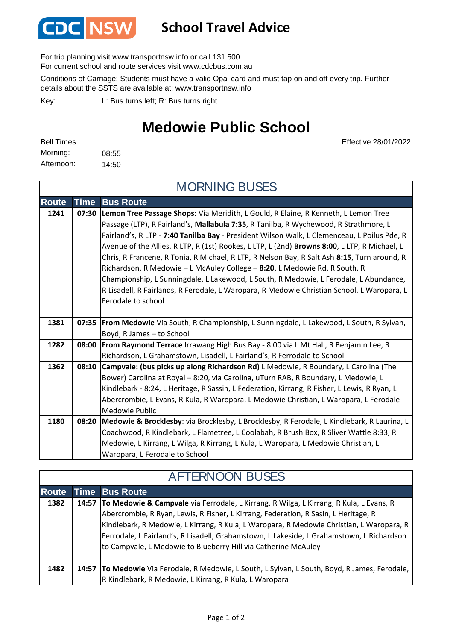

## **School Travel Advice**

For trip planning visit www.transportnsw.info or call 131 500.

For current school and route services visit www.cdcbus.com.au

Conditions of Carriage: Students must have a valid Opal card and must tap on and off every trip. Further details about the SSTS are available at: www.transportnsw.info

L: Bus turns left; R: Bus turns right Key:

## **Medowie Public School**

| <b>Bell Times</b> |       |
|-------------------|-------|
| Morning:          | 08:55 |
| Afternoon:        | 14:50 |

Effective 28/01/2022

| <b>MORNING BUSES</b> |             |                                                                                                  |  |
|----------------------|-------------|--------------------------------------------------------------------------------------------------|--|
| <b>Route</b>         | <b>Time</b> | <b>Bus Route</b>                                                                                 |  |
| 1241                 |             | 07:30 Lemon Tree Passage Shops: Via Meridith, L Gould, R Elaine, R Kenneth, L Lemon Tree         |  |
|                      |             | Passage (LTP), R Fairland's, Mallabula 7:35, R Tanilba, R Wychewood, R Strathmore, L             |  |
|                      |             | Fairland's, R LTP - 7:40 Tanilba Bay - President Wilson Walk, L Clemenceau, L Poilus Pde, R      |  |
|                      |             | Avenue of the Allies, R LTP, R (1st) Rookes, L LTP, L (2nd) Browns 8:00, L LTP, R Michael, L     |  |
|                      |             | Chris, R Francene, R Tonia, R Michael, R LTP, R Nelson Bay, R Salt Ash 8:15, Turn around, R      |  |
|                      |             | Richardson, R Medowie - L McAuley College - 8:20, L Medowie Rd, R South, R                       |  |
|                      |             | Championship, L Sunningdale, L Lakewood, L South, R Medowie, L Ferodale, L Abundance,            |  |
|                      |             | R Lisadell, R Fairlands, R Ferodale, L Waropara, R Medowie Christian School, L Waropara, L       |  |
|                      |             | Ferodale to school                                                                               |  |
|                      |             |                                                                                                  |  |
| 1381                 |             | 07:35   From Medowie Via South, R Championship, L Sunningdale, L Lakewood, L South, R Sylvan,    |  |
|                      |             | Boyd, R James - to School                                                                        |  |
| 1282                 |             | 08:00   From Raymond Terrace Irrawang High Bus Bay - 8:00 via L Mt Hall, R Benjamin Lee, R       |  |
|                      |             | Richardson, L Grahamstown, Lisadell, L Fairland's, R Ferrodale to School                         |  |
| 1362                 |             | 08:10 Campvale: (bus picks up along Richardson Rd) L Medowie, R Boundary, L Carolina (The        |  |
|                      |             | Bower) Carolina at Royal - 8:20, via Carolina, uTurn RAB, R Boundary, L Medowie, L               |  |
|                      |             | Kindlebark - 8:24, L Heritage, R Sassin, L Federation, Kirrang, R Fisher, L Lewis, R Ryan, L     |  |
|                      |             | Abercrombie, L Evans, R Kula, R Waropara, L Medowie Christian, L Waropara, L Ferodale            |  |
|                      |             | Medowie Public                                                                                   |  |
| 1180                 |             | 08:20 Medowie & Brocklesby: via Brocklesby, L Brocklesby, R Ferodale, L Kindlebark, R Laurina, L |  |
|                      |             | Coachwood, R Kindlebark, L Flametree, L Coolabah, R Brush Box, R Sliver Wattle 8:33, R           |  |
|                      |             | Medowie, L Kirrang, L Wilga, R Kirrang, L Kula, L Waropara, L Medowie Christian, L               |  |
|                      |             | Waropara, L Ferodale to School                                                                   |  |

| <b>AFTERNOON BUSES</b> |  |                                                                                                                                                                                                                                                                                                                                                                                                                                                  |  |  |
|------------------------|--|--------------------------------------------------------------------------------------------------------------------------------------------------------------------------------------------------------------------------------------------------------------------------------------------------------------------------------------------------------------------------------------------------------------------------------------------------|--|--|
| <b>Route</b>           |  | <b>Time Bus Route</b>                                                                                                                                                                                                                                                                                                                                                                                                                            |  |  |
| 1382                   |  | 14:57   To Medowie & Campvale via Ferrodale, L Kirrang, R Wilga, L Kirrang, R Kula, L Evans, R<br>Abercrombie, R Ryan, Lewis, R Fisher, L Kirrang, Federation, R Sasin, L Heritage, R<br>Kindlebark, R Medowie, L Kirrang, R Kula, L Waropara, R Medowie Christian, L Waropara, R<br>Ferrodale, L Fairland's, R Lisadell, Grahamstown, L Lakeside, L Grahamstown, L Richardson<br>to Campvale, L Medowie to Blueberry Hill via Catherine McAuley |  |  |
| 1482                   |  | 14:57   To Medowie Via Ferodale, R Medowie, L South, L Sylvan, L South, Boyd, R James, Ferodale,                                                                                                                                                                                                                                                                                                                                                 |  |  |
|                        |  | R Kindlebark, R Medowie, L Kirrang, R Kula, L Waropara                                                                                                                                                                                                                                                                                                                                                                                           |  |  |